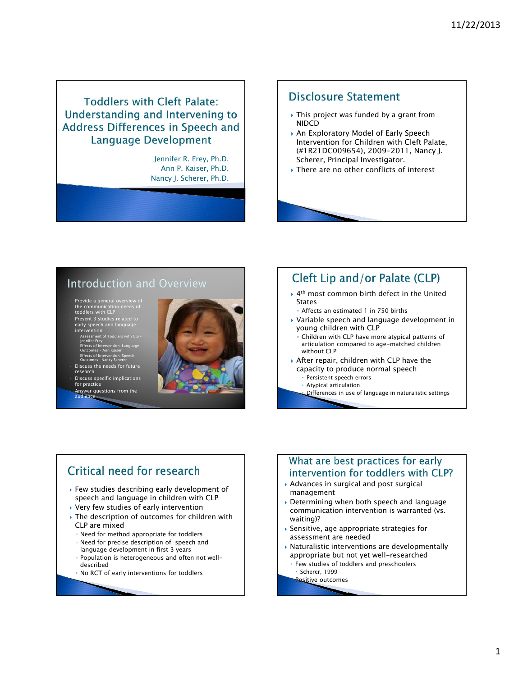### **Toddlers with Cleft Palate:** Understanding and Intervening to **Address Differences in Speech and Language Development**

Jennifer R. Frey, Ph.D. Ann P. Kaiser, Ph.D. Nancy J. Scherer, Ph.D.

### **Disclosure Statement**

- This project was funded by a grant from NIDCD
- An Exploratory Model of Early Speech Intervention for Children with Cleft Palate, (#1R21DC009654), 2009-2011, Nancy J. Scherer, Principal Investigator.
- There are no other conflicts of interest

### **Introduction and Overview**

- Provide a general overview of the communication needs of toddlers with CLP
- Present 3 studies related to early speech and language
- intervention ◦ Assessment of Toddlers with CLP-Jennifer Frey ◦ Effects of Intervention: Language Outcomes – Ann Kaiser
- Effects of Intervention: Speech Outcomes- Nancy Scherer
- Discuss the needs for future research Discuss specific implications
- for practice Answer questions from the
- audience

### Cleft Lip and/or Palate (CLP)

- ▶ 4<sup>th</sup> most common birth defect in the United **States** 
	- Affects an estimated 1 in 750 births
- Variable speech and language development in young children with CLP
- Children with CLP have more atypical patterns of articulation compared to age-matched children without CLP
- After repair, children with CLP have the capacity to produce normal speech
	- Persistent speech errors
		- Atypical articulation
		- Differences in use of language in naturalistic settings

# Critical need for research

- Few studies describing early development of speech and language in children with CLP
- Very few studies of early intervention
- The description of outcomes for children with CLP are mixed
- Need for method appropriate for toddlers
- Need for precise description of speech and
- language development in first 3 years
- Population is heterogeneous and often not welldescribed
- No RCT of early interventions for toddlers

### What are best practices for early intervention for toddlers with CLP?

- Advances in surgical and post surgical management
- Determining when both speech and language communication intervention is warranted (vs. waiting)?
- $\blacktriangleright$  Sensitive, age appropriate strategies for assessment are needed
- $\rightarrow$  Naturalistic interventions are developmentally appropriate but not yet well-researched
- Few studies of toddlers and preschoolers Scherer, 1999
	- **Positive outcomes**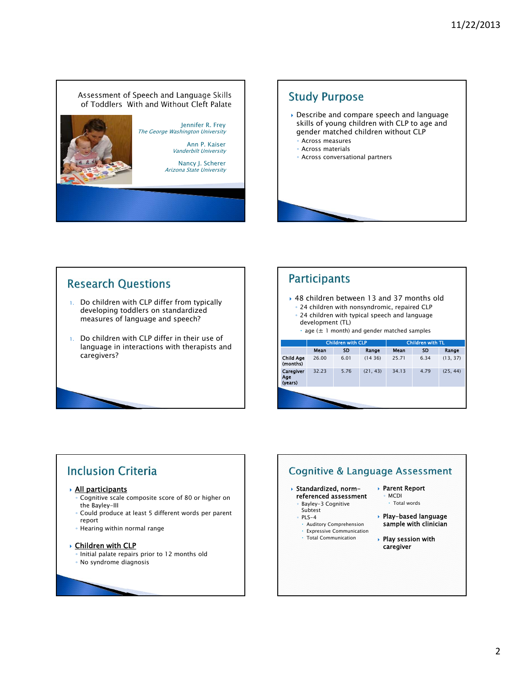### Assessment of Speech and Language Skills of Toddlers With and Without Cleft Palate





### **Research Questions**

- 1. Do children with CLP differ from typically developing toddlers on standardized measures of language and speech?
- 1. Do children with CLP differ in their use of language in interactions with therapists and caregivers?

### **Participants**

- ▶ 48 children between 13 and 37 months old ◦ 24 children with nonsyndromic, repaired CLP
- 24 children with typical speech and language development (TL)
	- $\cdot$  age ( $\pm$  1 month) and gender matched samples

|                              | <b>Children with CLP</b> |           |          | <b>Children with TL</b> |           |          |  |
|------------------------------|--------------------------|-----------|----------|-------------------------|-----------|----------|--|
|                              | Mean                     | <b>SD</b> | Range    | Mean                    | <b>SD</b> | Range    |  |
| <b>Child Age</b><br>(months) | 26.00                    | 6.01      | (1436)   | 25.71                   | 6.34      | (13, 37) |  |
| Caregiver<br>Age<br>(years)  | 32.23                    | 5.76      | (21, 43) | 34.13                   | 4.79      | (25, 44) |  |
|                              |                          |           |          |                         |           |          |  |

# **Inclusion Criteria**

### All participants

- Cognitive scale composite score of 80 or higher on the Bayley-III
- Could produce at least 5 different words per parent report
- Hearing within normal range

### **Children with CLP**

- Initial palate repairs prior to 12 months old
- No syndrome diagnosis

# **Cognitive & Language Assessment**

### Standardized, normreferenced assessment

- Bayley-3 Cognitive
- Subtest ◦ PLS-4
	- Auditory Comprehension
- Expressive Communication
- Total Communication
- Parent Report ◦ MCDI
	- Total words
- Play-based language sample with clinician
- Play session with caregiver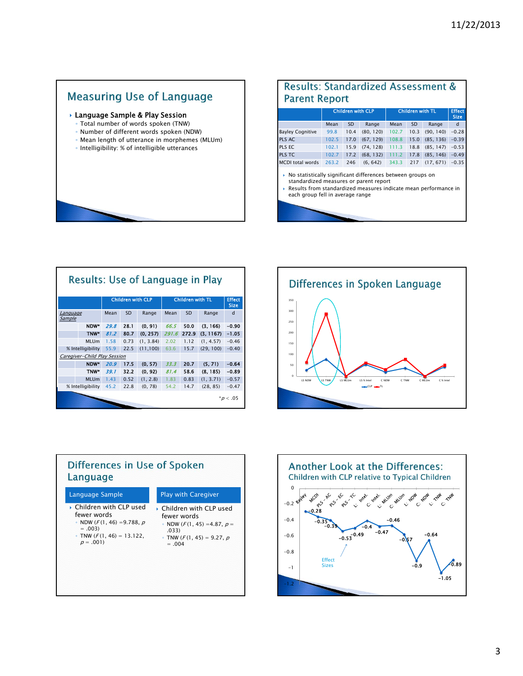# **Measuring Use of Language**

- Language Sample & Play Session
	- Total number of words spoken (TNW)
	- Number of different words spoken (NDW)
	- Mean length of utterance in morphemes (MLUm)
	- Intelligibility: % of intelligible utterances

|                                                                                                                                                                                                             | <b>Children with CLP</b> |           |           | <b>Children with TL</b> |           |           | <b>Effect</b><br><b>Size</b> |  |
|-------------------------------------------------------------------------------------------------------------------------------------------------------------------------------------------------------------|--------------------------|-----------|-----------|-------------------------|-----------|-----------|------------------------------|--|
|                                                                                                                                                                                                             | Mean                     | <b>SD</b> | Range     | Mean                    | <b>SD</b> | Range     | <sub>d</sub>                 |  |
| <b>Bayley Cognitive</b>                                                                                                                                                                                     | 99.8                     | 10.4      | (80, 120) | 102.7                   | 10.3      | (90, 140) | $-0.28$                      |  |
| PLS AC                                                                                                                                                                                                      | 102.5                    | 17.0      | (67, 129) | 108.8                   | 15.0      | (85, 136) | $-0.39$                      |  |
| PLS EC                                                                                                                                                                                                      | 102.1                    | 15.9      | (74, 128) | 111.3                   | 18.8      | (85, 147) | $-0.53$                      |  |
| PLS TC                                                                                                                                                                                                      | 102.7                    | 17.2      | (68, 132) | 111.2                   | 17.8      | (85, 146) | $-0.49$                      |  |
| <b>MCDI</b> total words                                                                                                                                                                                     | 263.2                    | 246       | (6, 642)  | 343.3                   | 217       | (17, 671) | $-0.35$                      |  |
| No statistically significant differences between groups on<br>standardized measures or parent report<br>Results from standardized measures indicate mean performance in<br>each group fell in average range |                          |           |           |                         |           |           |                              |  |

Results: Standardized Assessment &

| <b>Results: Use of Language in Play</b> |                   |      |                          |           |                         |           |           |                              |
|-----------------------------------------|-------------------|------|--------------------------|-----------|-------------------------|-----------|-----------|------------------------------|
|                                         |                   |      | <b>Children with CLP</b> |           | <b>Children with TL</b> |           |           | <b>Effect</b><br><b>Size</b> |
| <b>Language</b><br>Sample               |                   | Mean | <b>SD</b>                | Range     | Mean                    | <b>SD</b> | Range     | d                            |
|                                         | NDW*              | 29.8 | 28.1                     | (0, 91)   | 66.5                    | 50.0      | (3, 166)  | $-0.90$                      |
|                                         | TNW <sup>*</sup>  | 81.2 | 80.7                     | (0, 257)  | 291.6                   | 272.9     | (3, 1167) | $-1.05$                      |
|                                         | <b>MLUm</b>       | 1.58 | 0.73                     | (1, 3.84) | 2.02                    | 1.12      | (1, 4.57) | $-0.46$                      |
| % Intelligibility                       |                   | 55.9 | 22.5                     | (11, 100) | 63.6                    | 15.7      | (29, 100) | $-0.40$                      |
| Caregiver-Child Play Session            |                   |      |                          |           |                         |           |           |                              |
|                                         | NDW*              | 20.9 | 17.5                     | (0, 57)   | 33.3                    | 20.7      | (5, 71)   | $-0.64$                      |
|                                         | TNW*              | 39.1 | 32.2                     | (0, 92)   | 81.4                    | 58.6      | (8, 185)  | $-0.89$                      |
|                                         | <b>MLUm</b>       | 1.43 | 0.52                     | (1, 2.8)  | 1.83                    | 0.83      | (1, 3.71) | $-0.57$                      |
|                                         | % Intelligibility | 45.2 | 22.8                     | (0, 78)   | 54.2                    | 14.7      | (28, 85)  | $-0.47$                      |
| $^{\ast}$ <i>p</i> < .05                |                   |      |                          |           |                         |           |           |                              |





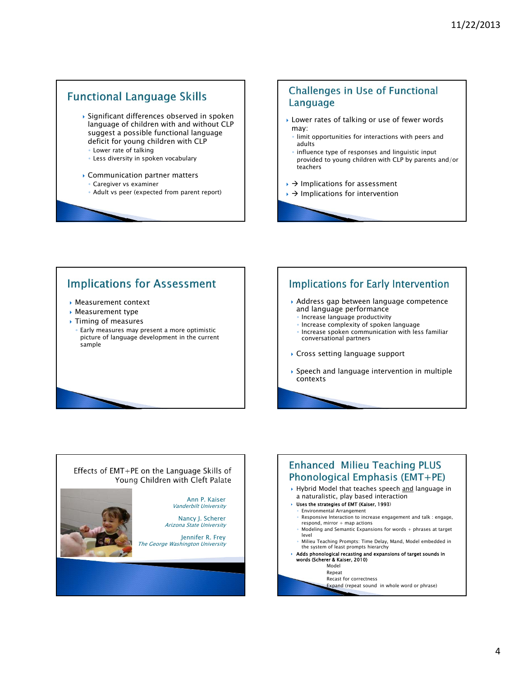### **Functional Language Skills**

- Significant differences observed in spoken language of children with and without CLP suggest a possible functional language deficit for young children with CLP ◦ Lower rate of talking
	- Less diversity in spoken vocabulary
- Communication partner matters
	- Caregiver vs examiner
	- Adult vs peer (expected from parent report)

### **Challenges in Use of Functional** Language

- Lower rates of talking or use of fewer words may:
- limit opportunities for interactions with peers and adults
- influence type of responses and linguistic input provided to young children with CLP by parents and/or teachers
- $\rightarrow$  Implications for assessment
- $\rightarrow$  Implications for intervention

### **Implications for Assessment**

- Measurement context
- Measurement type
- Timing of measures
- Early measures may present a more optimistic picture of language development in the current sample

### **Implications for Early Intervention**

- Address gap between language competence and language performance
	- Increase language productivity
	- Increase complexity of spoken language ◦ Increase spoken communication with less familiar conversational partners
- Cross setting language support
- Speech and language intervention in multiple contexts



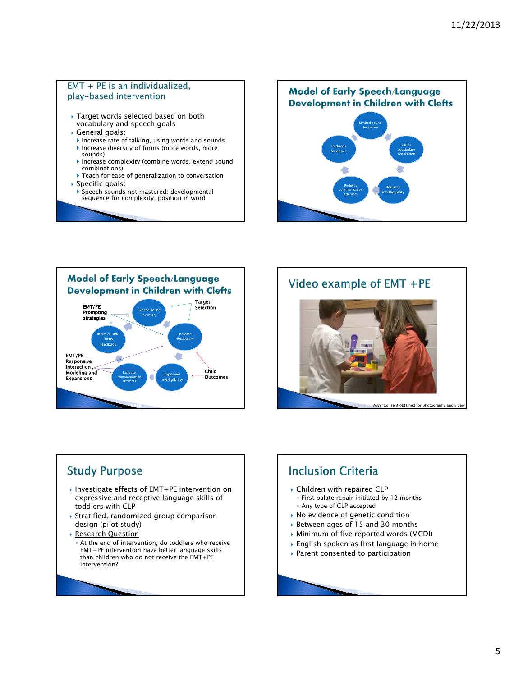### $EMT + PE$  is an individualized, play-based intervention

- Target words selected based on both vocabulary and speech goals
- General goals:
	- Increase rate of talking, using words and sounds Increase diversity of forms (more words, more
	- sounds) Increase complexity (combine words, extend sound
	- combinations) Teach for ease of generalization to conversation
- Specific goals:
- Speech sounds not mastered: developmental sequence for complexity, position in word

**Model of Early Speech/Language Development in Children with Clefts** Limited sound Inventory Limits Reduces vocabulary feedback acquisition Reduces Reduces communication intelligibility attempts



# Video example of EMT +PE



### **Study Purpose**

- ▶ Investigate effects of EMT+PE intervention on expressive and receptive language skills of toddlers with CLP
- $\rightarrow$  Stratified, randomized group comparison design (pilot study)
- Research Question
	- At the end of intervention, do toddlers who receive EMT+PE intervention have better language skills than children who do not receive the EMT+PE intervention?

# **Inclusion Criteria**

- Children with repaired CLP
	- First palate repair initiated by 12 months ◦ Any type of CLP accepted
- No evidence of genetic condition
- Between ages of 15 and 30 months
- Minimum of five reported words (MCDI)
- English spoken as first language in home
- Parent consented to participation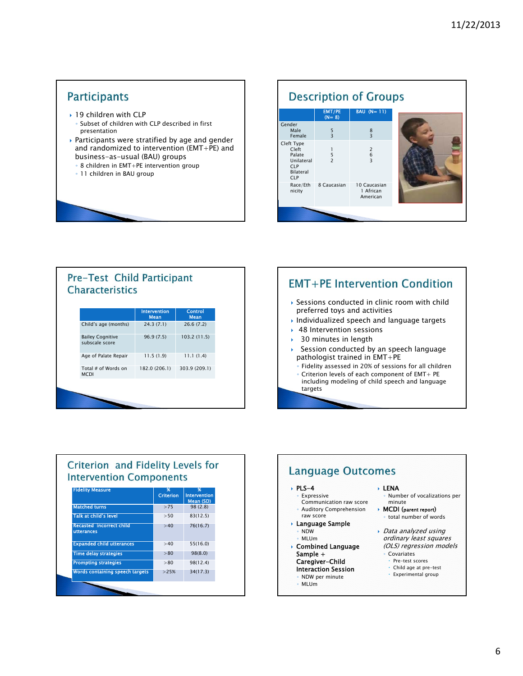### **Participants**

- ▶ 19 children with CLP Subset of children with CLP described in first presentation
- Participants were stratified by age and gender and randomized to intervention (EMT+PE) and business-as-usual (BAU) groups
- 8 children in EMT+PE intervention group
- 11 children in BAU group

#### **Description of Groups** BAU (N= 11) EMT/PE (N= 8) Gender Male 8 5 3 Female 3 Cleft Type Cleft 2 1 Palate 6 5 2 Unilateral 3 CLP Bilateral  $C$ Race/Eth 8 Caucasian 10 Caucasian nicity 1 African American

### Pre-Test Child Participant **Characteristics**

|                                           | <b>Intervention</b><br><b>Mean</b> | <b>Control</b><br><b>Mean</b> |
|-------------------------------------------|------------------------------------|-------------------------------|
| Child's age (months)                      | 24.3(7.1)                          | 26.6(7.2)                     |
| <b>Bailey Cognitive</b><br>subscale score | 96.9(7.5)                          | 103.2 (11.5)                  |
| Age of Palate Repair                      | 11.5(1.9)                          | 11.1(1.4)                     |
| Total # of Words on<br><b>MCDI</b>        | 182.0 (206.1)                      | 303.9 (209.1)                 |

### **EMT+PE Intervention Condition**

- Sessions conducted in clinic room with child preferred toys and activities
- Individualized speech and language targets
- ▶ 48 Intervention sessions
- ▶ 30 minutes in length
- Session conducted by an speech language pathologist trained in EMT+PE
	- Fidelity assessed in 20% of sessions for all children ◦ Criterion levels of each component of EMT+ PE
	- including modeling of child speech and language targets

### Criterion and Fidelity Levels for **Intervention Components**

| <b>Fidelity Measure</b>                       | 96<br><b>Criterion</b> | 96<br><b>Intervention</b><br>Mean (SD) |
|-----------------------------------------------|------------------------|----------------------------------------|
| <b>Matched turns</b>                          | >75                    | 98(2.8)                                |
| Talk at child's level                         | > 50                   | 83(12.5)                               |
| <b>Recasted incorrect child</b><br>utterances | >40                    | 76(16.7)                               |
| <b>Expanded child utterances</b>              | >40                    | 55(16.0)                               |
| <b>Time delay strategies</b>                  | > 80                   | 98(8.0)                                |
| <b>Prompting strategies</b>                   | > 80                   | 98(12.4)                               |
| <b>Words containing speech targets</b>        | >25%                   | 34(17.3)                               |
|                                               |                        |                                        |

#### **Language Outcomes**  $PLS-4$  LENA **Expressive** ◦ Number of vocalizations per Communication raw score minute MCDI (parent report) ◦ Auditory Comprehension raw score ◦ total number of words Language Sample ◦ NDW Data analyzed using ◦ MLUm ordinary least squares Combined Language (OLS) regression models Sample + ◦ Covariates Caregiver-Child Pre-test scores Child age at pre-test Interaction Session Experimental group◦ NDW per minute ◦ MLUm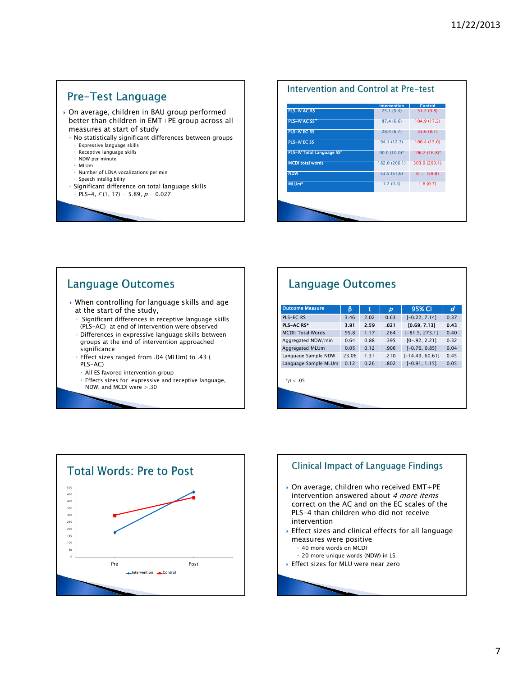### **Pre-Test Language**

- On average, children in BAU group performed better than children in EMT+PE group across all measures at start of study
	- No statistically significant differences between groups
	- Expressive language skills
	- Receptive language skills
	- NDW per minute
	- MLUm
	- Number of LENA vocalizations per min
	- Speech intelligibility
	- Significant difference on total language skills  $PLS-4, F(1, 17) = 5.89, p = 0.027$

# Intervention and Control at Pre-test



### **Language Outcomes**

- When controlling for language skills and age at the start of the study,
- Significant differences in receptive language skills (PLS-AC) at end of intervention were observed
- Differences in expressive language skills between groups at the end of intervention approached significance
- Effect sizes ranged from .04 (MLUm) to .43 ( PLS-AC)
- All ES favored intervention group
- Effects sizes for expressive and receptive language, NDW, and MCDI were >.30

# **Language Outcomes**

| <b>Outcome Measure</b>   | ß     | t    | $\boldsymbol{D}$ | 95% CI            | d    |  |  |  |
|--------------------------|-------|------|------------------|-------------------|------|--|--|--|
| PLS-EC RS                | 3.46  | 2.02 | 0.63             | $[-0.22, 7.14]$   | 0.37 |  |  |  |
| PLS-AC RS*               | 3.91  | 2.59 | .021             | [0.69, 7.13]      | 0.43 |  |  |  |
| <b>MCDI: Total Words</b> | 95.8  | 1.17 | .264             | $[-81.5, 273.1]$  | 0.40 |  |  |  |
| Aggregated NDW/min       | 0.64  | 0.88 | .395             | $[0-.92, 2.21]$   | 0.32 |  |  |  |
| Aggregated MLUm          | 0.05  | 0.12 | .906             | $[-0.76, 0.85]$   | 0.04 |  |  |  |
| Language Sample NDW      | 23.06 | 1.31 | .210             | $[-14.49, 60.61]$ | 0.45 |  |  |  |
| Language Sample MLUm     | 0.12  | 0.26 | .802             | $[-0.91, 1.15]$   | 0.05 |  |  |  |
| $*$ <i>p</i> < .05       |       |      |                  |                   |      |  |  |  |



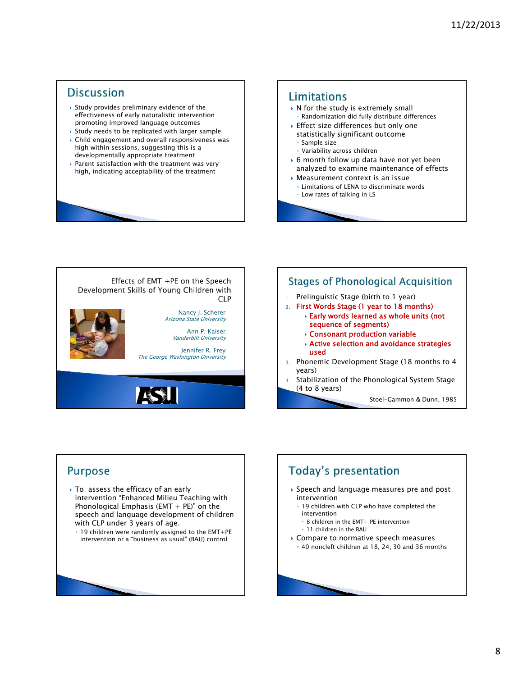### **Discussion**

- $\rightarrow$  Study provides preliminary evidence of the effectiveness of early naturalistic intervention promoting improved language outcomes
- Study needs to be replicated with larger sample Child engagement and overall responsiveness was
- high within sessions, suggesting this is a developmentally appropriate treatment
- Parent satisfaction with the treatment was very high, indicating acceptability of the treatment

### Limitations

- $\triangleright$  N for the study is extremely small
- Randomization did fully distribute differences
- Effect size differences but only one statistically significant outcome
- Sample size
- Variability across children
- 6 month follow up data have not yet been analyzed to examine maintenance of effects
- Measurement context is an issue
- Limitations of LENA to discriminate words
- Low rates of talking in LS





### **Purpose**

- ▶ To assess the efficacy of an early intervention "Enhanced Milieu Teaching with Phonological Emphasis (EMT  $+$  PE)" on the speech and language development of children with CLP under 3 years of age.
	- 19 children were randomly assigned to the EMT+PE intervention or a "business as usual" (BAU) control

# **Today's presentation**

- Speech and language measures pre and post intervention
	- 19 children with CLP who have completed the intervention
		- 8 children in the EMT+ PE intervention
		- 11 children in the BAU
- ▶ Compare to normative speech measures
- 40 noncleft children at 18, 24, 30 and 36 months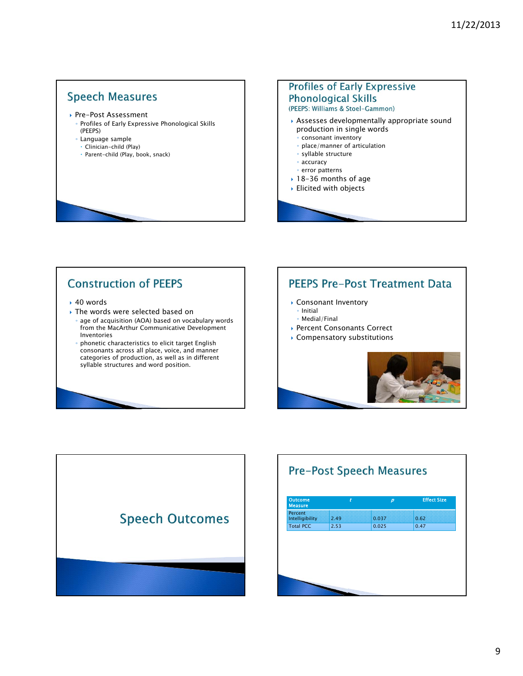### **Speech Measures**

- ▶ Pre-Post Assessment
	- Profiles of Early Expressive Phonological Skills (PEEPS)
	- Language sample
	- Clinician-child (Play)
	- Parent-child (Play, book, snack)

### **Profiles of Early Expressive Phonological Skills** (PEEPS: Williams & Stoel-Gammon)

- Assesses developmentally appropriate sound production in single words
	- consonant inventory
	- place/manner of articulation
	- syllable structure
	- accuracy
	- error patterns
- 18-36 months of age
- Elicited with objects

# **Construction of PEEPS**

- 40 words
- ▶ The words were selected based on
- age of acquisition (AOA) based on vocabulary words from the MacArthur Communicative Development Inventories
- phonetic characteristics to elicit target English consonants across all place, voice, and manner categories of production, as well as in different syllable structures and word position.

### **PEEPS Pre-Post Treatment Data**

- Consonant Inventory
	- Initial
	- Medial/Final
- ▶ Percent Consonants Correct
- Compensatory substitutions





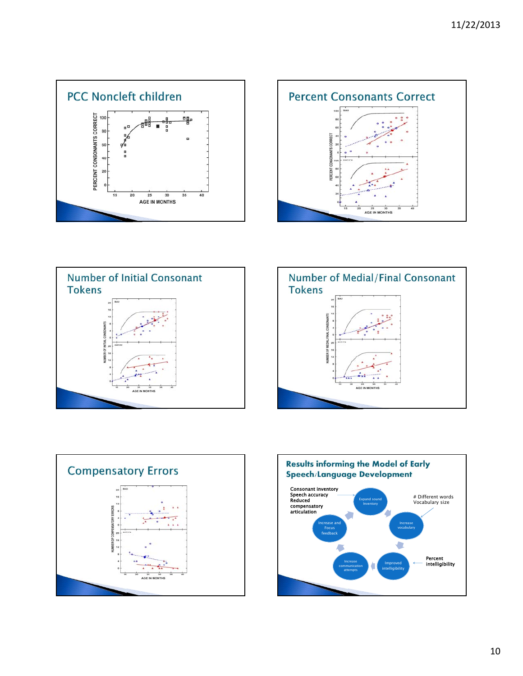